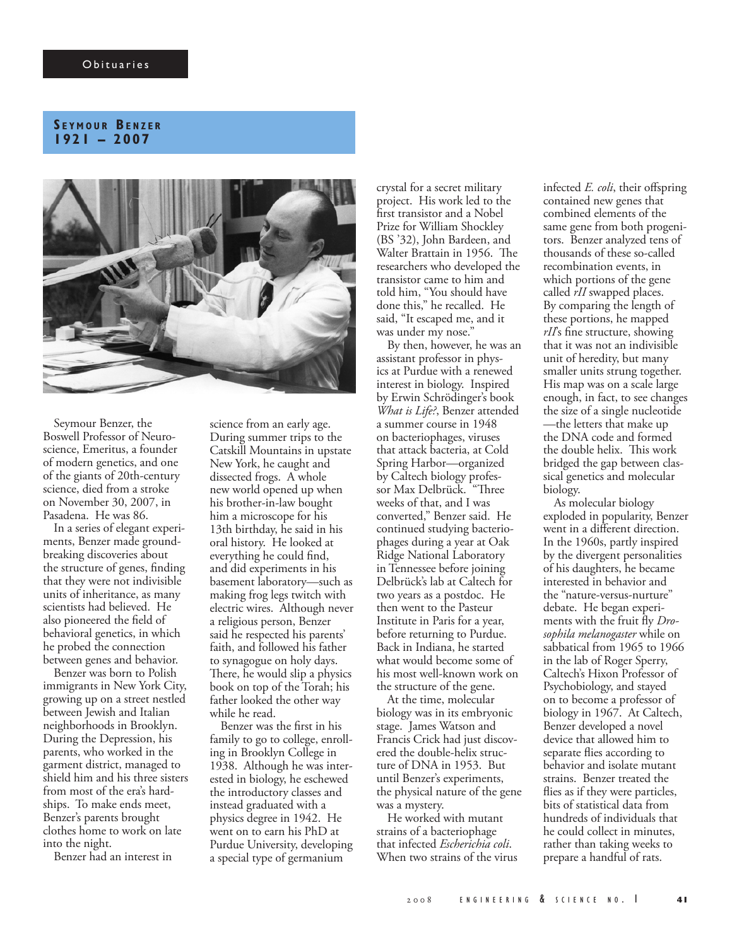## **S e y m o u r Be n z e r 1921 – 2007**



Seymour Benzer, the Boswell Professor of Neuroscience, Emeritus, a founder of modern genetics, and one of the giants of 20th-century science, died from a stroke on November 30, 2007, in Pasadena. He was 86.

In a series of elegant experiments, Benzer made groundbreaking discoveries about the structure of genes, finding that they were not indivisible units of inheritance, as many scientists had believed. He also pioneered the field of behavioral genetics, in which he probed the connection between genes and behavior.

Benzer was born to Polish immigrants in New York City, growing up on a street nestled between Jewish and Italian neighborhoods in Brooklyn. During the Depression, his parents, who worked in the garment district, managed to shield him and his three sisters from most of the era's hardships. To make ends meet, Benzer's parents brought clothes home to work on late into the night.

Benzer had an interest in

science from an early age. During summer trips to the Catskill Mountains in upstate New York, he caught and dissected frogs. A whole new world opened up when his brother-in-law bought him a microscope for his 13th birthday, he said in his oral history. He looked at everything he could find, and did experiments in his basement laboratory—such as making frog legs twitch with electric wires. Although never a religious person, Benzer said he respected his parents' faith, and followed his father to synagogue on holy days. There, he would slip a physics book on top of the Torah; his father looked the other way while he read.

Benzer was the first in his family to go to college, enrolling in Brooklyn College in 1938. Although he was interested in biology, he eschewed the introductory classes and instead graduated with a physics degree in 1942. He went on to earn his PhD at Purdue University, developing a special type of germanium

crystal for a secret military project. His work led to the first transistor and a Nobel Prize for William Shockley (BS '32), John Bardeen, and Walter Brattain in 1956. The researchers who developed the transistor came to him and told him, "You should have done this," he recalled. He said, "It escaped me, and it was under my nose."

By then, however, he was an assistant professor in physics at Purdue with a renewed interest in biology. Inspired by Erwin Schrödinger's book *What is Life?*, Benzer attended a summer course in 1948 on bacteriophages, viruses that attack bacteria, at Cold Spring Harbor—organized by Caltech biology professor Max Delbrück. "Three weeks of that, and I was converted," Benzer said. He continued studying bacteriophages during a year at Oak Ridge National Laboratory in Tennessee before joining Delbrück's lab at Caltech for two years as a postdoc. He then went to the Pasteur Institute in Paris for a year, before returning to Purdue. Back in Indiana, he started what would become some of his most well-known work on the structure of the gene.

At the time, molecular biology was in its embryonic stage. James Watson and Francis Crick had just discovered the double-helix structure of DNA in 1953. But until Benzer's experiments, the physical nature of the gene was a mystery.

He worked with mutant strains of a bacteriophage that infected *Escherichia coli*. When two strains of the virus infected *E. coli*, their offspring contained new genes that combined elements of the same gene from both progenitors. Benzer analyzed tens of thousands of these so-called recombination events, in which portions of the gene called *rII* swapped places. By comparing the length of these portions, he mapped *rII*'s fine structure, showing that it was not an indivisible unit of heredity, but many smaller units strung together. His map was on a scale large enough, in fact, to see changes the size of a single nucleotide —the letters that make up the DNA code and formed the double helix. This work bridged the gap between classical genetics and molecular biology.

As molecular biology exploded in popularity, Benzer went in a different direction. In the 1960s, partly inspired by the divergent personalities of his daughters, he became interested in behavior and the "nature-versus-nurture" debate. He began experiments with the fruit fly *Drosophila melanogaster* while on sabbatical from 1965 to 1966 in the lab of Roger Sperry, Caltech's Hixon Professor of Psychobiology, and stayed on to become a professor of biology in 1967. At Caltech, Benzer developed a novel device that allowed him to separate flies according to behavior and isolate mutant strains. Benzer treated the flies as if they were particles, bits of statistical data from hundreds of individuals that he could collect in minutes, rather than taking weeks to prepare a handful of rats.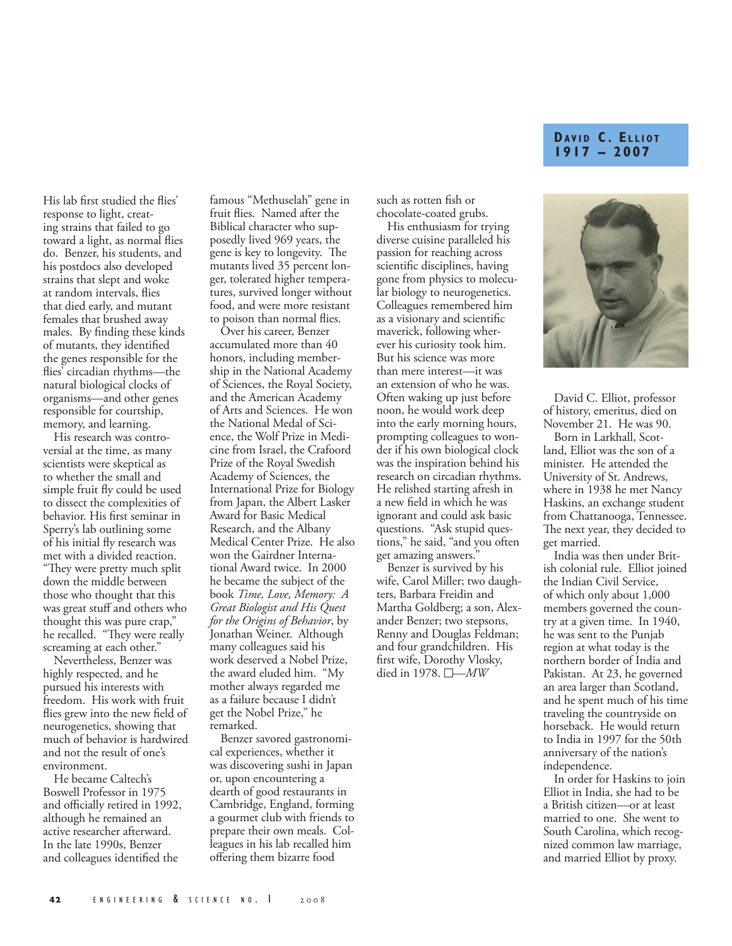## **DAVID C. ELLIOT 1917 – 2007**

His lab first studied the flies' response to light, creating strains that failed to go toward a light, as normal flies do. Benzer, his students, and his postdocs also developed strains that slept and woke at random intervals, flies that died early, and mutant females that brushed away males. By finding these kinds of mutants, they identified the genes responsible for the flies' circadian rhythms—the natural biological clocks of organisms—and other genes responsible for courtship, memory, and learning.

His research was controversial at the time, as many scientists were skeptical as to whether the small and simple fruit fly could be used to dissect the complexities of behavior. His first seminar in Sperry's lab outlining some of his initial fly research was met with a divided reaction. "They were pretty much split down the middle between those who thought that this was great stuff and others who thought this was pure crap," he recalled. "They were really screaming at each other."

Nevertheless, Benzer was highly respected, and he pursued his interests with freedom. His work with fruit flies grew into the new field of neurogenetics, showing that much of behavior is hardwired and not the result of one's environment.

He became Caltech's Boswell Professor in 1975 and officially retired in 1992, although he remained an active researcher afterward. In the late 1990s, Benzer and colleagues identified the

famous "Methuselah" gene in fruit flies. Named after the Biblical character who supposedly lived 969 years, the gene is key to longevity. The mutants lived 35 percent longer, tolerated higher temperatures, survived longer without food, and were more resistant to poison than normal flies.

Over his career, Benzer accumulated more than 40 honors, including membership in the National Academy of Sciences, the Royal Society, and the American Academy of Arts and Sciences. He won the National Medal of Science, the Wolf Prize in Medicine from Israel, the Crafoord Prize of the Royal Swedish Academy of Sciences, the International Prize for Biology from Japan, the Albert Lasker Award for Basic Medical Research, and the Albany Medical Center Prize. He also won the Gairdner International Award twice. In 2000 he became the subject of the book *Time, Love, Memory: A Great Biologist and His Quest for the Origins of Behavior*, by Jonathan Weiner. Although many colleagues said his work deserved a Nobel Prize, the award eluded him. "My mother always regarded me as a failure because I didn't get the Nobel Prize," he remarked.

Benzer savored gastronomical experiences, whether it was discovering sushi in Japan or, upon encountering a dearth of good restaurants in Cambridge, England, forming a gourmet club with friends to prepare their own meals. Colleagues in his lab recalled him offering them bizarre food

such as rotten fish or chocolate-coated grubs.

His enthusiasm for trying diverse cuisine paralleled his passion for reaching across scientific disciplines, having gone from physics to molecular biology to neurogenetics. Colleagues remembered him as a visionary and scientific maverick, following wherever his curiosity took him. But his science was more than mere interest—it was an extension of who he was. Often waking up just before noon, he would work deep into the early morning hours, prompting colleagues to wonder if his own biological clock was the inspiration behind his research on circadian rhythms. He relished starting afresh in a new field in which he was ignorant and could ask basic questions. "Ask stupid questions," he said, "and you often get amazing answers."

Benzer is survived by his wife, Carol Miller; two daughters, Barbara Freidin and Martha Goldberg; a son, Alexander Benzer; two stepsons, Renny and Douglas Feldman; and four grandchildren. His first wife, Dorothy Vlosky, died in 1978. —*MW*



David C. Elliot, professor of history, emeritus, died on November 21. He was 90.

Born in Larkhall, Scotland, Elliot was the son of a minister. He attended the University of St. Andrews, where in 1938 he met Nancy Haskins, an exchange student from Chattanooga, Tennessee. The next year, they decided to get married.

India was then under British colonial rule. Elliot joined the Indian Civil Service, of which only about 1,000 members governed the country at a given time. In 1940, he was sent to the Punjab region at what today is the northern border of India and Pakistan. At 23, he governed an area larger than Scotland, and he spent much of his time traveling the countryside on horseback. He would return to India in 1997 for the 50th anniversary of the nation's independence.

In order for Haskins to join Elliot in India, she had to be a British citizen—or at least married to one. She went to South Carolina, which recognized common law marriage, and married Elliot by proxy.